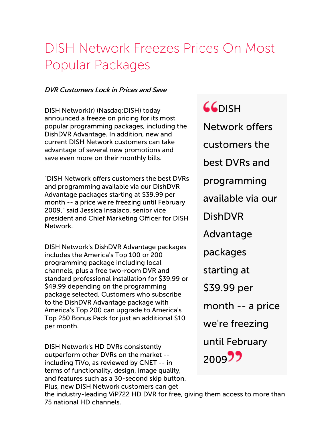## DISH Network Freezes Prices On Most Popular Packages

## DVR Customers Lock in Prices and Save

DISH Network(r) (Nasdaq:DISH) today announced a freeze on pricing for its most popular programming packages, including the DishDVR Advantage. In addition, new and current DISH Network customers can take advantage of several new promotions and save even more on their monthly bills.

"DISH Network offers customers the best DVRs and programming available via our DishDVR Advantage packages starting at \$39.99 per month -- a price we're freezing until February 2009," said Jessica Insalaco, senior vice president and Chief Marketing Officer for DISH Network.

DISH Network's DishDVR Advantage packages includes the America's Top 100 or 200 programming package including local channels, plus a free two-room DVR and standard professional installation for \$39.99 or \$49.99 depending on the programming package selected. Customers who subscribe to the DishDVR Advantage package with America's Top 200 can upgrade to America's Top 250 Bonus Pack for just an additional \$10 per month.

DISH Network's HD DVRs consistently outperform other DVRs on the market - including TiVo, as reviewed by CNET -- in terms of functionality, design, image quality, and features such as a 30-second skip button. Plus, new DISH Network customers can get

**GGDISH** 

Network offers customers the best DVRs and programming available via our DishDVR Advantage packages starting at \$39.99 per month -- a price we're freezing until February

200922

the industry-leading ViP722 HD DVR for free, giving them access to more than 75 national HD channels.